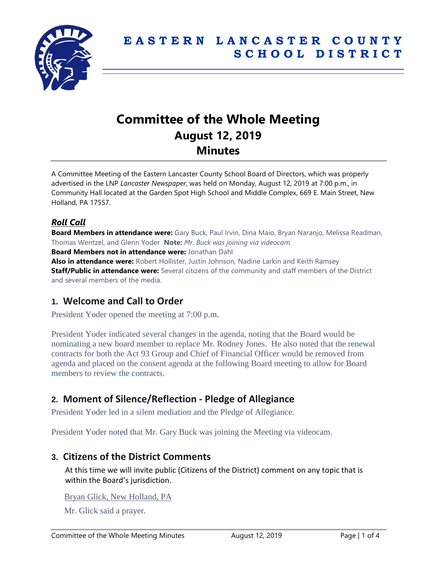

# **Committee of the Whole Meeting August 12, 2019 Minutes**

A Committee Meeting of the Eastern Lancaster County School Board of Directors, which was properly advertised in the LNP *Lancaster Newspaper*, was held on Monday, August 12, 2019 at 7:00 p.m., in Community Hall located at the Garden Spot High School and Middle Complex, 669 E. Main Street, New Holland, PA 17557.

# *Roll Call*

**Board Members in attendance were:** Gary Buck, Paul Irvin, Dina Maio, Bryan Naranjo, Melissa Readman, Thomas Wentzel, and Glenn Yoder **Note:** *Mr. Buck was joining via videocam.*

**Board Members not in attendance were:** Jonathan Dahl

**Also in attendance were:** Robert Hollister, Justin Johnson, Nadine Larkin and Keith Ramsey **Staff/Public in attendance were:** Several citizens of the community and staff members of the District and several members of the media.

# **1. Welcome and Call to Order**

President Yoder opened the meeting at 7:00 p.m.

President Yoder indicated several changes in the agenda, noting that the Board would be nominating a new board member to replace Mr. Rodney Jones. He also noted that the renewal contracts for both the Act 93 Group and Chief of Financial Officer would be removed from agenda and placed on the consent agenda at the following Board meeting to allow for Board members to review the contracts.

# **2. Moment of Silence/Reflection - Pledge of Allegiance**

President Yoder led in a silent mediation and the Pledge of Allegiance.

President Yoder noted that Mr. Gary Buck was joining the Meeting via videocam.

## **3. Citizens of the District Comments**

At this time we will invite public (Citizens of the District) comment on any topic that is within the Board's jurisdiction.

Bryan Glick, New Holland, PA

Mr. Glick said a prayer.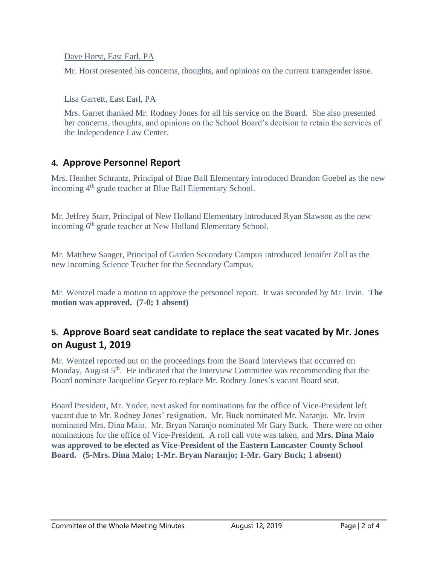Dave Horst, East Earl, PA

Mr. Horst presented his concerns, thoughts, and opinions on the current transgender issue.

Lisa Garrett, East Earl, PA

Mrs. Garret thanked Mr. Rodney Jones for all his service on the Board. She also presented her concerns, thoughts, and opinions on the School Board's decision to retain the services of the Independence Law Center.

# **4. Approve Personnel Report**

Mrs. Heather Schrantz, Principal of Blue Ball Elementary introduced Brandon Goebel as the new incoming 4<sup>th</sup> grade teacher at Blue Ball Elementary School.

Mr. Jeffrey Starr, Principal of New Holland Elementary introduced Ryan Slawson as the new incoming 6<sup>th</sup> grade teacher at New Holland Elementary School.

Mr. Matthew Sanger, Principal of Garden Secondary Campus introduced Jennifer Zoll as the new incoming Science Teacher for the Secondary Campus.

Mr. Wentzel made a motion to approve the personnel report. It was seconded by Mr. Irvin. **The motion was approved. (7-0; 1 absent)**

# **5. Approve Board seat candidate to replace the seat vacated by Mr. Jones on August 1, 2019**

Mr. Wentzel reported out on the proceedings from the Board interviews that occurred on Monday, August  $5<sup>th</sup>$ . He indicated that the Interview Committee was recommending that the Board nominate Jacqueline Geyer to replace Mr. Rodney Jones's vacant Board seat.

Board President, Mr. Yoder, next asked for nominations for the office of Vice-President left vacant due to Mr. Rodney Jones' resignation. Mr. Buck nominated Mr. Naranjo. Mr. Irvin nominated Mrs. Dina Maio. Mr. Bryan Naranjo nominated Mr Gary Buck. There were no other nominations for the office of Vice-President. A roll call vote was taken, and **Mrs. Dina Maio was approved to be elected as Vice-President of the Eastern Lancaster County School Board. (5-Mrs. Dina Maio; 1-Mr. Bryan Naranjo; 1-Mr. Gary Buck; 1 absent)**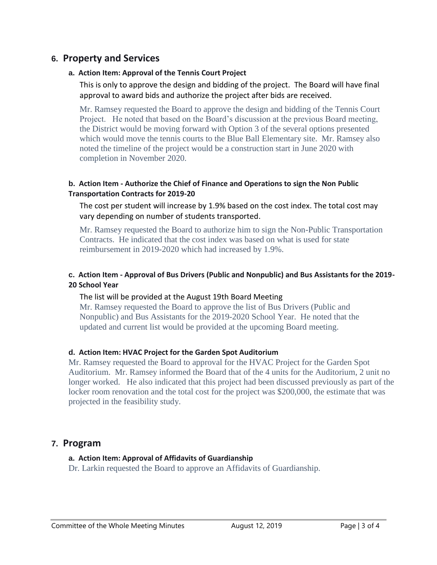## **6. Property and Services**

#### **a. Action Item: Approval of the Tennis Court Project**

This is only to approve the design and bidding of the project. The Board will have final approval to award bids and authorize the project after bids are received.

Mr. Ramsey requested the Board to approve the design and bidding of the Tennis Court Project. He noted that based on the Board's discussion at the previous Board meeting, the District would be moving forward with Option 3 of the several options presented which would move the tennis courts to the Blue Ball Elementary site. Mr. Ramsey also noted the timeline of the project would be a construction start in June 2020 with completion in November 2020.

#### **b. Action Item - Authorize the Chief of Finance and Operations to sign the Non Public Transportation Contracts for 2019-20**

The cost per student will increase by 1.9% based on the cost index. The total cost may vary depending on number of students transported.

Mr. Ramsey requested the Board to authorize him to sign the Non-Public Transportation Contracts. He indicated that the cost index was based on what is used for state reimbursement in 2019-2020 which had increased by 1.9%.

#### **c. Action Item - Approval of Bus Drivers (Public and Nonpublic) and Bus Assistants for the 2019- 20 School Year**

#### The list will be provided at the August 19th Board Meeting

Mr. Ramsey requested the Board to approve the list of Bus Drivers (Public and Nonpublic) and Bus Assistants for the 2019-2020 School Year. He noted that the updated and current list would be provided at the upcoming Board meeting.

#### **d. Action Item: HVAC Project for the Garden Spot Auditorium**

Mr. Ramsey requested the Board to approval for the HVAC Project for the Garden Spot Auditorium. Mr. Ramsey informed the Board that of the 4 units for the Auditorium, 2 unit no longer worked. He also indicated that this project had been discussed previously as part of the locker room renovation and the total cost for the project was \$200,000, the estimate that was projected in the feasibility study.

## **7. Program**

#### **a. Action Item: Approval of Affidavits of Guardianship**

Dr. Larkin requested the Board to approve an Affidavits of Guardianship.